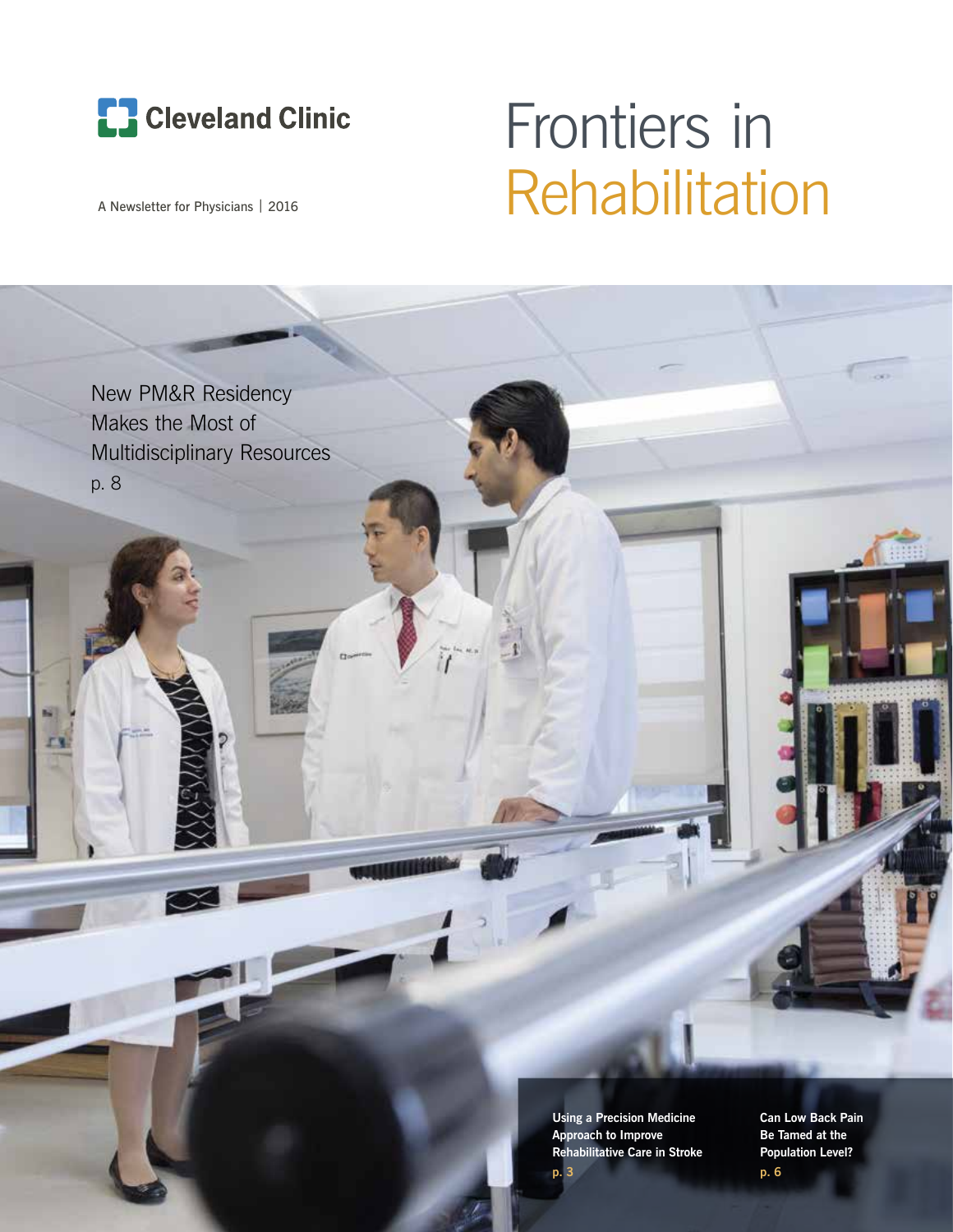

# Frontiers in A Newsletter for Physicians | 2016 Rehabilitation



**Using a Precision Medicine Approach to Improve Rehabilitative Care in Stroke p. 3**

**Can Low Back Pain Be Tamed at the Population Level?**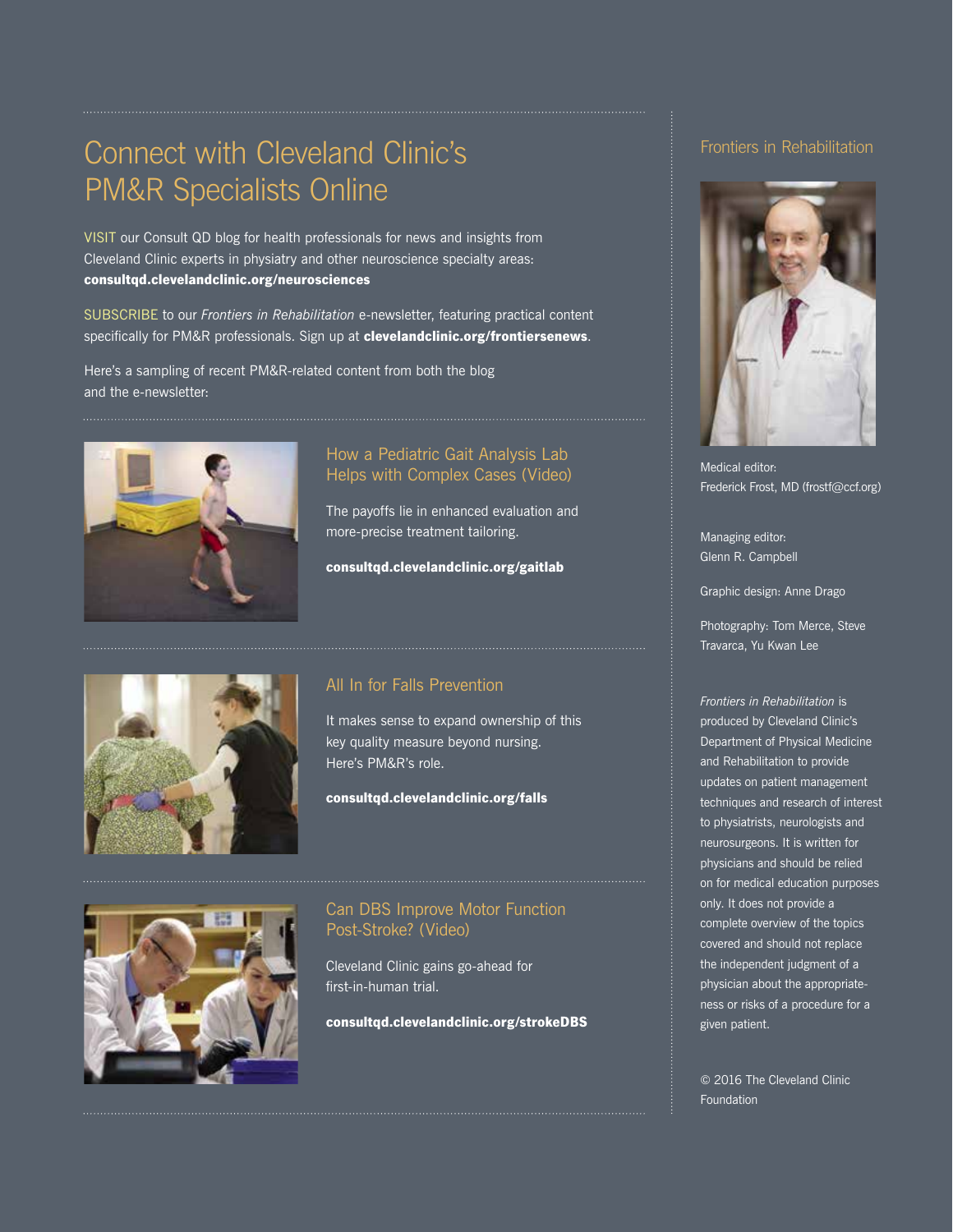# Connect with Cleveland Clinic's PM&R Specialists Online

VISIT our Consult QD blog for health professionals for news and insights from Cleveland Clinic experts in physiatry and other neuroscience specialty areas: consultqd.clevelandclinic.org/neurosciences

SUBSCRIBE to our *Frontiers in Rehabilitation* e-newsletter, featuring practical content specifically for PM&R professionals. Sign up at clevelandclinic.org/frontiersenews.

Here's a sampling of recent PM&R-related content from both the blog and the e-newsletter:



#### How a Pediatric Gait Analysis Lab Helps with Complex Cases (Video)

The payoffs lie in enhanced evaluation and more-precise treatment tailoring.

consultqd.clevelandclinic.org/gaitlab



### All In for Falls Prevention

It makes sense to expand ownership of this key quality measure beyond nursing. Here's PM&R's role.

consultqd.clevelandclinic.org/falls



### Can DBS Improve Motor Function Post-Stroke? (Video)

Cleveland Clinic gains go-ahead for first-in-human trial.

consultqd.clevelandclinic.org/strokeDBS

#### Frontiers in Rehabilitation



Medical editor: Frederick Frost, MD (frostf@ccf.org)

Managing editor: Glenn R. Campbell

Graphic design: Anne Drago

Photography: Tom Merce, Steve Travarca, Yu Kwan Lee

*Frontiers in Rehabilitation* is produced by Cleveland Clinic's Department of Physical Medicine and Rehabilitation to provide updates on patient management techniques and research of interest to physiatrists, neurologists and neurosurgeons. It is written for physicians and should be relied on for medical education purposes only. It does not provide a complete overview of the topics covered and should not replace the independent judgment of a physician about the appropriateness or risks of a procedure for a given patient.

© 2016 The Cleveland Clinic Foundation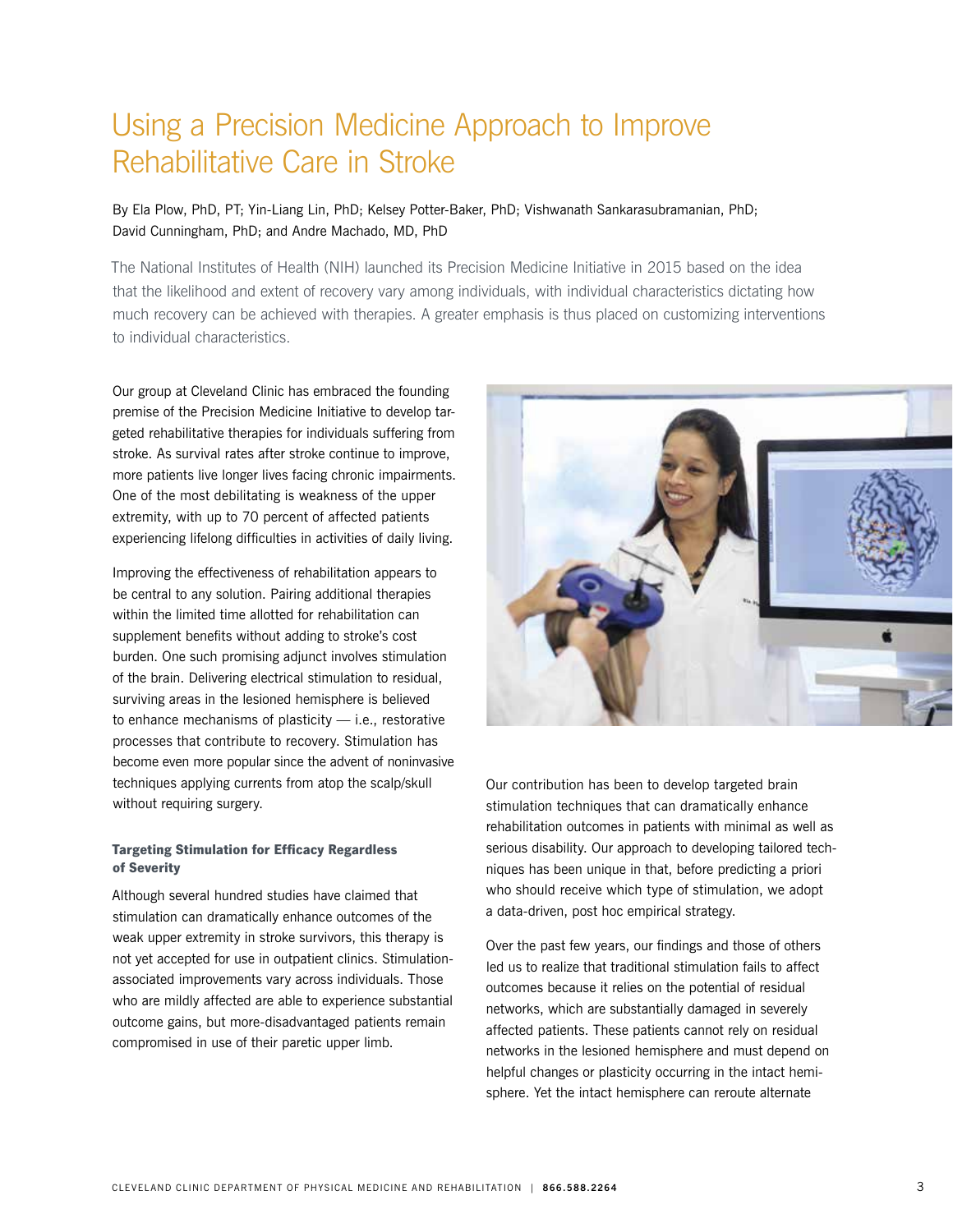# Using a Precision Medicine Approach to Improve Rehabilitative Care in Stroke

#### By Ela Plow, PhD, PT; Yin-Liang Lin, PhD; Kelsey Potter-Baker, PhD; Vishwanath Sankarasubramanian, PhD; David Cunningham, PhD; and Andre Machado, MD, PhD

The National Institutes of Health (NIH) launched its Precision Medicine Initiative in 2015 based on the idea that the likelihood and extent of recovery vary among individuals, with individual characteristics dictating how much recovery can be achieved with therapies. A greater emphasis is thus placed on customizing interventions to individual characteristics.

Our group at Cleveland Clinic has embraced the founding premise of the Precision Medicine Initiative to develop targeted rehabilitative therapies for individuals suffering from stroke. As survival rates after stroke continue to improve, more patients live longer lives facing chronic impairments. One of the most debilitating is weakness of the upper extremity, with up to 70 percent of affected patients experiencing lifelong difficulties in activities of daily living.

Improving the effectiveness of rehabilitation appears to be central to any solution. Pairing additional therapies within the limited time allotted for rehabilitation can supplement benefits without adding to stroke's cost burden. One such promising adjunct involves stimulation of the brain. Delivering electrical stimulation to residual, surviving areas in the lesioned hemisphere is believed to enhance mechanisms of plasticity — i.e., restorative processes that contribute to recovery. Stimulation has become even more popular since the advent of noninvasive techniques applying currents from atop the scalp/skull without requiring surgery.

#### Targeting Stimulation for Efficacy Regardless of Severity

Although several hundred studies have claimed that stimulation can dramatically enhance outcomes of the weak upper extremity in stroke survivors, this therapy is not yet accepted for use in outpatient clinics. Stimulationassociated improvements vary across individuals. Those who are mildly affected are able to experience substantial outcome gains, but more-disadvantaged patients remain compromised in use of their paretic upper limb.



Our contribution has been to develop targeted brain stimulation techniques that can dramatically enhance rehabilitation outcomes in patients with minimal as well as serious disability. Our approach to developing tailored techniques has been unique in that, before predicting a priori who should receive which type of stimulation, we adopt a data-driven, post hoc empirical strategy.

Over the past few years, our findings and those of others led us to realize that traditional stimulation fails to affect outcomes because it relies on the potential of residual networks, which are substantially damaged in severely affected patients. These patients cannot rely on residual networks in the lesioned hemisphere and must depend on helpful changes or plasticity occurring in the intact hemisphere. Yet the intact hemisphere can reroute alternate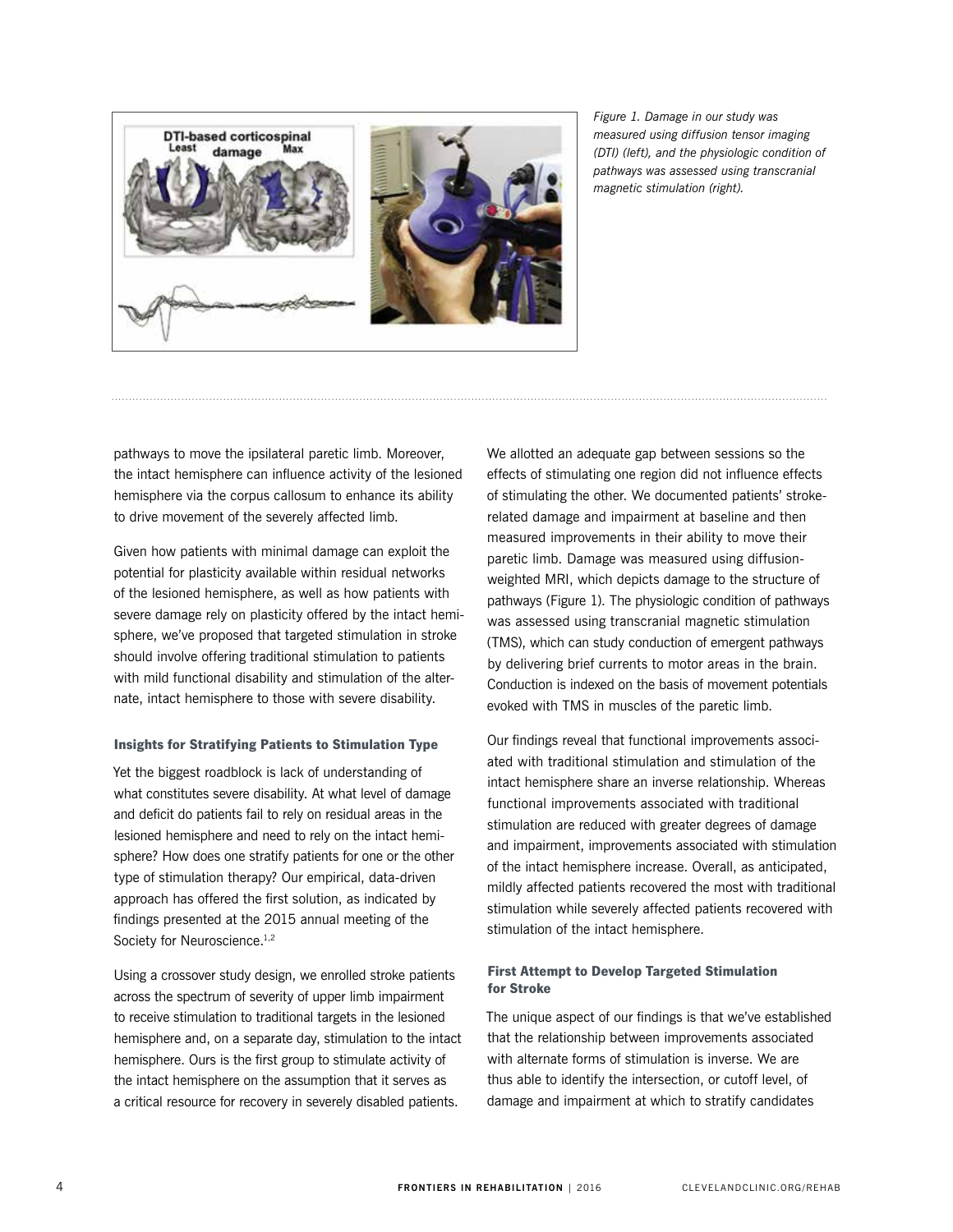

*Figure 1. Damage in our study was measured using diffusion tensor imaging (DTI) (left), and the physiologic condition of pathways was assessed using transcranial magnetic stimulation (right).* 

pathways to move the ipsilateral paretic limb. Moreover, the intact hemisphere can influence activity of the lesioned hemisphere via the corpus callosum to enhance its ability to drive movement of the severely affected limb.

Given how patients with minimal damage can exploit the potential for plasticity available within residual networks of the lesioned hemisphere, as well as how patients with severe damage rely on plasticity offered by the intact hemisphere, we've proposed that targeted stimulation in stroke should involve offering traditional stimulation to patients with mild functional disability and stimulation of the alternate, intact hemisphere to those with severe disability.

#### Insights for Stratifying Patients to Stimulation Type

Yet the biggest roadblock is lack of understanding of what constitutes severe disability. At what level of damage and deficit do patients fail to rely on residual areas in the lesioned hemisphere and need to rely on the intact hemisphere? How does one stratify patients for one or the other type of stimulation therapy? Our empirical, data-driven approach has offered the first solution, as indicated by findings presented at the 2015 annual meeting of the Society for Neuroscience.<sup>1,2</sup>

Using a crossover study design, we enrolled stroke patients across the spectrum of severity of upper limb impairment to receive stimulation to traditional targets in the lesioned hemisphere and, on a separate day, stimulation to the intact hemisphere. Ours is the first group to stimulate activity of the intact hemisphere on the assumption that it serves as a critical resource for recovery in severely disabled patients.

We allotted an adequate gap between sessions so the effects of stimulating one region did not influence effects of stimulating the other. We documented patients' strokerelated damage and impairment at baseline and then measured improvements in their ability to move their paretic limb. Damage was measured using diffusionweighted MRI, which depicts damage to the structure of pathways (Figure 1). The physiologic condition of pathways was assessed using transcranial magnetic stimulation (TMS), which can study conduction of emergent pathways by delivering brief currents to motor areas in the brain. Conduction is indexed on the basis of movement potentials evoked with TMS in muscles of the paretic limb.

Our findings reveal that functional improvements associated with traditional stimulation and stimulation of the intact hemisphere share an inverse relationship. Whereas functional improvements associated with traditional stimulation are reduced with greater degrees of damage and impairment, improvements associated with stimulation of the intact hemisphere increase. Overall, as anticipated, mildly affected patients recovered the most with traditional stimulation while severely affected patients recovered with stimulation of the intact hemisphere.

#### First Attempt to Develop Targeted Stimulation for Stroke

The unique aspect of our findings is that we've established that the relationship between improvements associated with alternate forms of stimulation is inverse. We are thus able to identify the intersection, or cutoff level, of damage and impairment at which to stratify candidates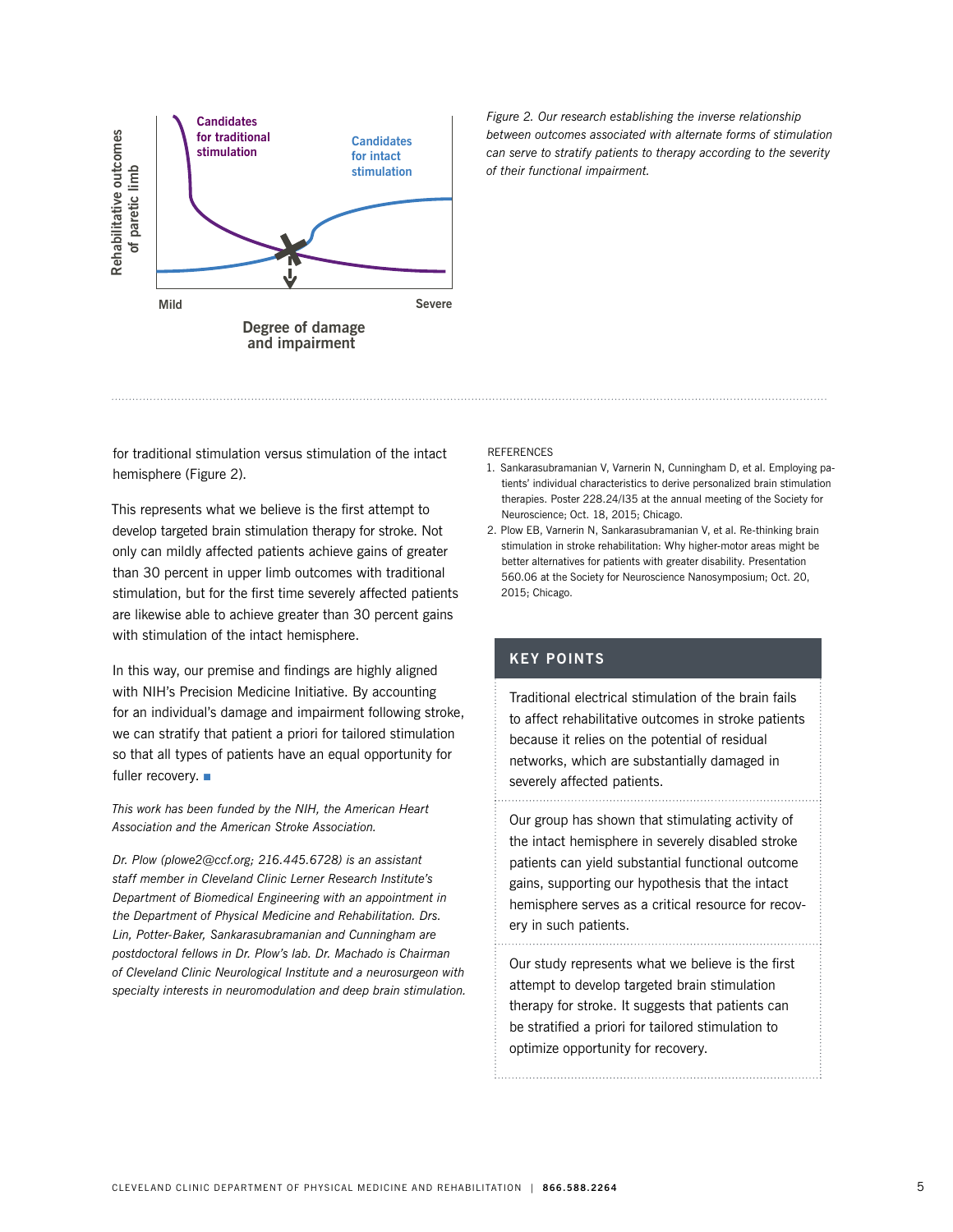

*Figure 2. Our research establishing the inverse relationship between outcomes associated with alternate forms of stimulation can serve to stratify patients to therapy according to the severity of their functional impairment.* 

for traditional stimulation versus stimulation of the intact hemisphere (Figure 2).

This represents what we believe is the first attempt to develop targeted brain stimulation therapy for stroke. Not only can mildly affected patients achieve gains of greater than 30 percent in upper limb outcomes with traditional stimulation, but for the first time severely affected patients are likewise able to achieve greater than 30 percent gains with stimulation of the intact hemisphere.

In this way, our premise and findings are highly aligned with NIH's Precision Medicine Initiative. By accounting for an individual's damage and impairment following stroke, we can stratify that patient a priori for tailored stimulation so that all types of patients have an equal opportunity for fuller recovery.  $\blacksquare$ 

*This work has been funded by the NIH, the American Heart Association and the American Stroke Association.* 

*Dr. Plow (plowe2@ccf.org; 216.445.6728) is an assistant staff member in Cleveland Clinic Lerner Research Institute's Department of Biomedical Engineering with an appointment in the Department of Physical Medicine and Rehabilitation. Drs. Lin, Potter-Baker, Sankarasubramanian and Cunningham are postdoctoral fellows in Dr. Plow's lab. Dr. Machado is Chairman of Cleveland Clinic Neurological Institute and a neurosurgeon with specialty interests in neuromodulation and deep brain stimulation.* 

#### **REFERENCES**

- 1. Sankarasubramanian V, Varnerin N, Cunningham D, et al. Employing patients' individual characteristics to derive personalized brain stimulation therapies. Poster 228.24/I35 at the annual meeting of the Society for Neuroscience; Oct. 18, 2015; Chicago.
- 2. Plow EB, Varnerin N, Sankarasubramanian V, et al. Re-thinking brain stimulation in stroke rehabilitation: Why higher-motor areas might be better alternatives for patients with greater disability. Presentation 560.06 at the Society for Neuroscience Nanosymposium; Oct. 20, 2015; Chicago.

#### **KEY POINTS**

Traditional electrical stimulation of the brain fails to affect rehabilitative outcomes in stroke patients because it relies on the potential of residual networks, which are substantially damaged in severely affected patients.

Our group has shown that stimulating activity of the intact hemisphere in severely disabled stroke patients can yield substantial functional outcome gains, supporting our hypothesis that the intact hemisphere serves as a critical resource for recovery in such patients.

Our study represents what we believe is the first attempt to develop targeted brain stimulation therapy for stroke. It suggests that patients can be stratified a priori for tailored stimulation to optimize opportunity for recovery.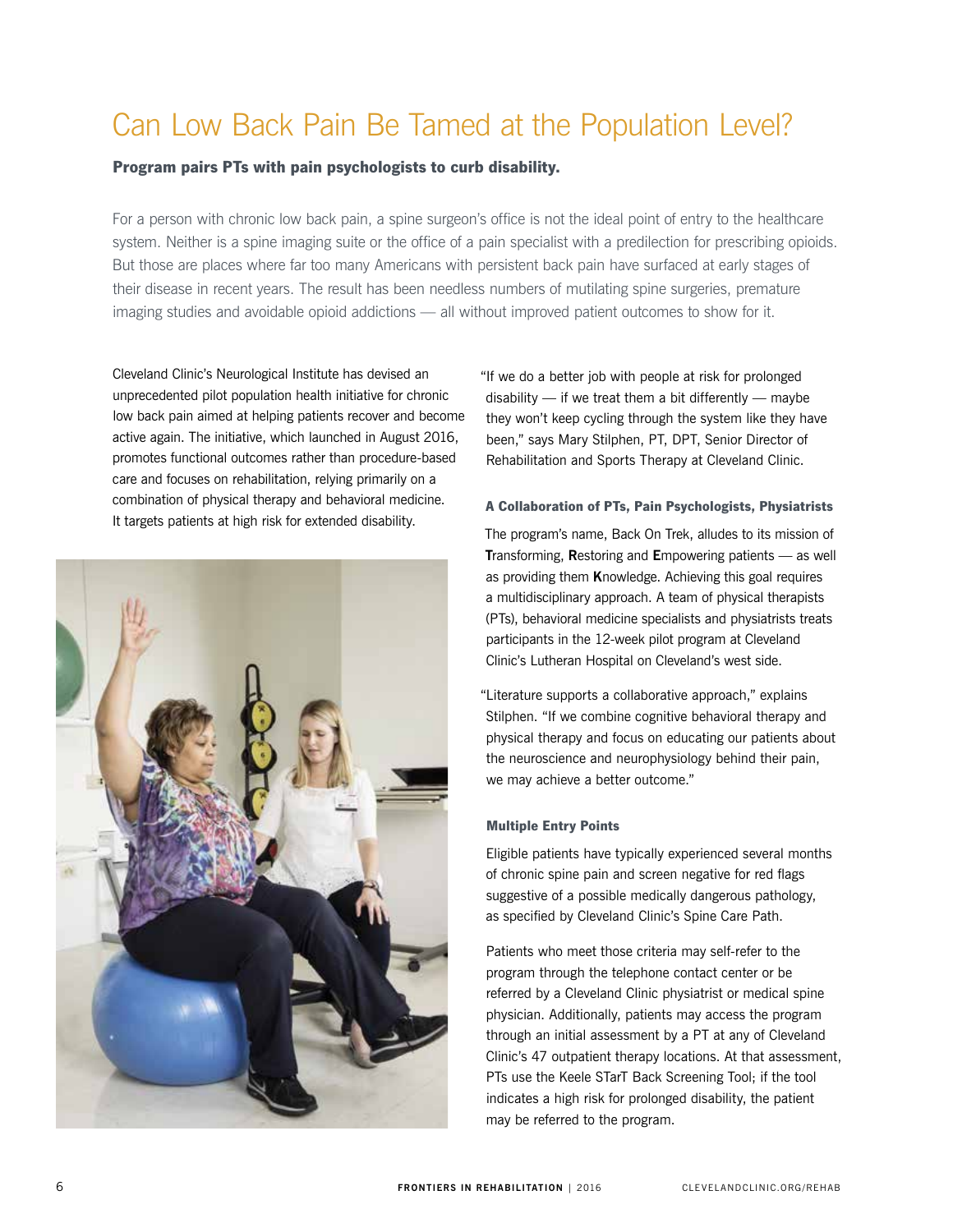# Can Low Back Pain Be Tamed at the Population Level?

#### Program pairs PTs with pain psychologists to curb disability.

For a person with chronic low back pain, a spine surgeon's office is not the ideal point of entry to the healthcare system. Neither is a spine imaging suite or the office of a pain specialist with a predilection for prescribing opioids. But those are places where far too many Americans with persistent back pain have surfaced at early stages of their disease in recent years. The result has been needless numbers of mutilating spine surgeries, premature imaging studies and avoidable opioid addictions — all without improved patient outcomes to show for it.

Cleveland Clinic's Neurological Institute has devised an unprecedented pilot population health initiative for chronic low back pain aimed at helping patients recover and become active again. The initiative, which launched in August 2016, promotes functional outcomes rather than procedure-based care and focuses on rehabilitation, relying primarily on a combination of physical therapy and behavioral medicine. It targets patients at high risk for extended disability.



"If we do a better job with people at risk for prolonged disability  $-$  if we treat them a bit differently  $-$  maybe they won't keep cycling through the system like they have been," says Mary Stilphen, PT, DPT, Senior Director of Rehabilitation and Sports Therapy at Cleveland Clinic.

#### A Collaboration of PTs, Pain Psychologists, Physiatrists

The program's name, Back On Trek, alludes to its mission of **T**ransforming, **R**estoring and **E**mpowering patients — as well as providing them **K**nowledge. Achieving this goal requires a multidisciplinary approach. A team of physical therapists (PTs), behavioral medicine specialists and physiatrists treats participants in the 12-week pilot program at Cleveland Clinic's Lutheran Hospital on Cleveland's west side.

"Literature supports a collaborative approach," explains Stilphen. "If we combine cognitive behavioral therapy and physical therapy and focus on educating our patients about the neuroscience and neurophysiology behind their pain, we may achieve a better outcome."

#### Multiple Entry Points

Eligible patients have typically experienced several months of chronic spine pain and screen negative for red flags suggestive of a possible medically dangerous pathology, as specified by Cleveland Clinic's Spine Care Path.

Patients who meet those criteria may self-refer to the program through the telephone contact center or be referred by a Cleveland Clinic physiatrist or medical spine physician. Additionally, patients may access the program through an initial assessment by a PT at any of Cleveland Clinic's 47 outpatient therapy locations. At that assessment, PTs use the Keele STarT Back Screening Tool; if the tool indicates a high risk for prolonged disability, the patient may be referred to the program.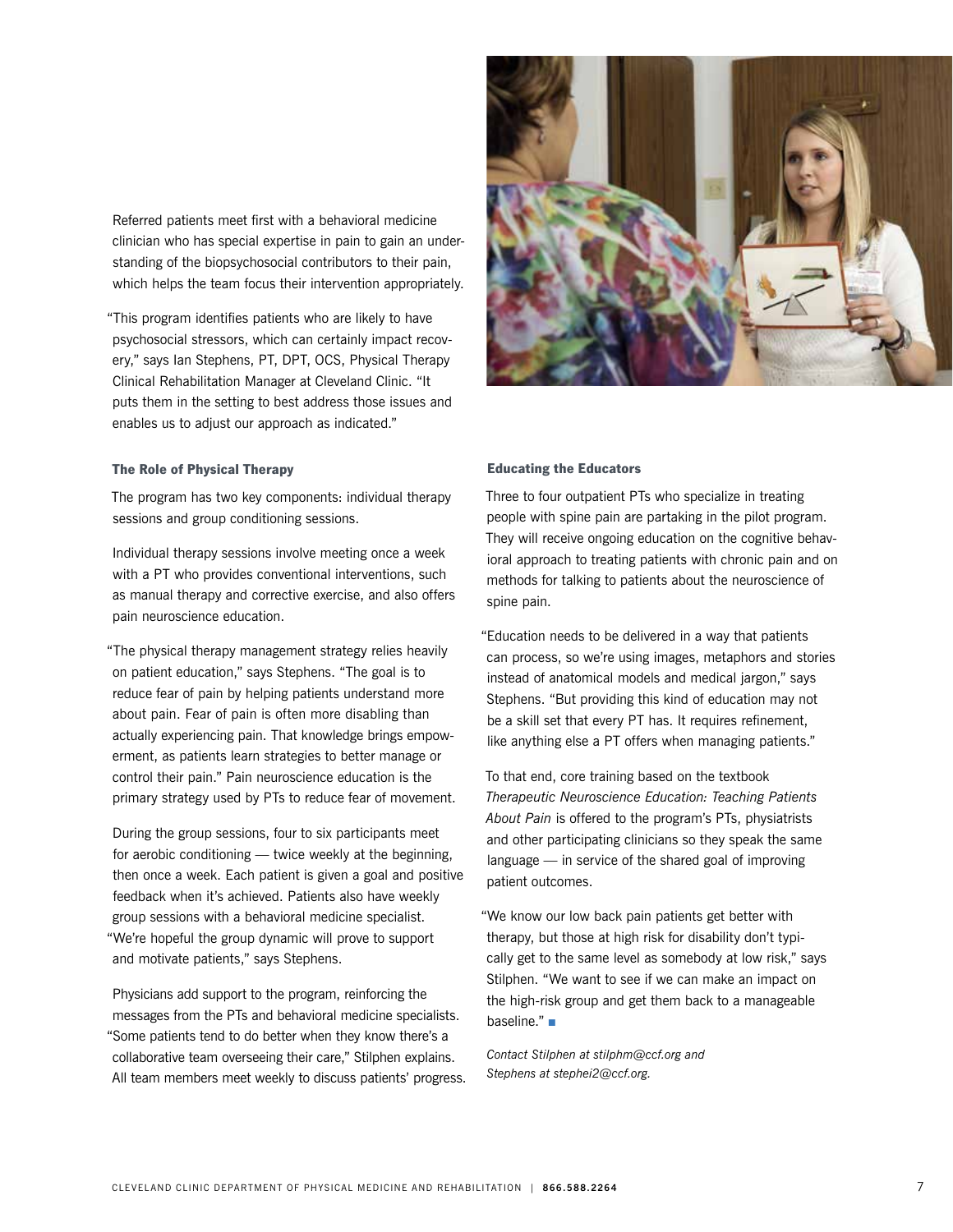Referred patients meet first with a behavioral medicine clinician who has special expertise in pain to gain an understanding of the biopsychosocial contributors to their pain, which helps the team focus their intervention appropriately.

"This program identifies patients who are likely to have psychosocial stressors, which can certainly impact recovery," says Ian Stephens, PT, DPT, OCS, Physical Therapy Clinical Rehabilitation Manager at Cleveland Clinic. "It puts them in the setting to best address those issues and enables us to adjust our approach as indicated."

#### The Role of Physical Therapy

The program has two key components: individual therapy sessions and group conditioning sessions.

Individual therapy sessions involve meeting once a week with a PT who provides conventional interventions, such as manual therapy and corrective exercise, and also offers pain neuroscience education.

"The physical therapy management strategy relies heavily on patient education," says Stephens. "The goal is to reduce fear of pain by helping patients understand more about pain. Fear of pain is often more disabling than actually experiencing pain. That knowledge brings empowerment, as patients learn strategies to better manage or control their pain." Pain neuroscience education is the primary strategy used by PTs to reduce fear of movement.

During the group sessions, four to six participants meet for aerobic conditioning — twice weekly at the beginning, then once a week. Each patient is given a goal and positive feedback when it's achieved. Patients also have weekly group sessions with a behavioral medicine specialist. "We're hopeful the group dynamic will prove to support and motivate patients," says Stephens.

Physicians add support to the program, reinforcing the messages from the PTs and behavioral medicine specialists. "Some patients tend to do better when they know there's a collaborative team overseeing their care," Stilphen explains. All team members meet weekly to discuss patients' progress.



#### Educating the Educators

Three to four outpatient PTs who specialize in treating people with spine pain are partaking in the pilot program. They will receive ongoing education on the cognitive behavioral approach to treating patients with chronic pain and on methods for talking to patients about the neuroscience of spine pain.

"Education needs to be delivered in a way that patients can process, so we're using images, metaphors and stories instead of anatomical models and medical jargon," says Stephens. "But providing this kind of education may not be a skill set that every PT has. It requires refinement, like anything else a PT offers when managing patients."

To that end, core training based on the textbook *Therapeutic Neuroscience Education: Teaching Patients About Pain* is offered to the program's PTs, physiatrists and other participating clinicians so they speak the same language — in service of the shared goal of improving patient outcomes.

"We know our low back pain patients get better with therapy, but those at high risk for disability don't typically get to the same level as somebody at low risk," says Stilphen. "We want to see if we can make an impact on the high-risk group and get them back to a manageable baseline." $\blacksquare$ 

*Contact Stilphen at stilphm@ccf.org and Stephens at stephei2@ccf.org.*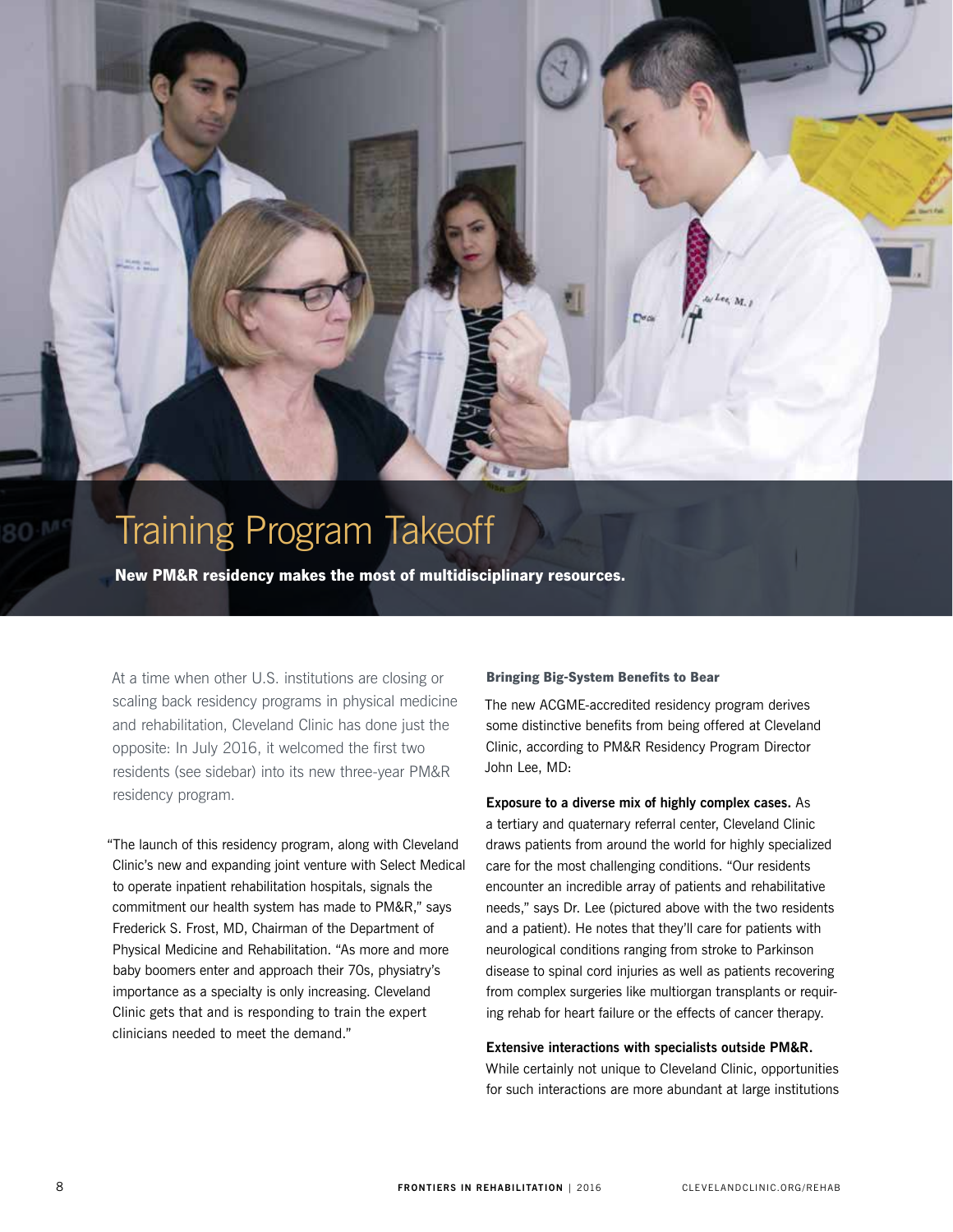

# Training Program Takeoff

New PM&R residency makes the most of multidisciplinary resources.

At a time when other U.S. institutions are closing or scaling back residency programs in physical medicine and rehabilitation, Cleveland Clinic has done just the opposite: In July 2016, it welcomed the first two residents (see sidebar) into its new three-year PM&R residency program.

"The launch of this residency program, along with Cleveland Clinic's new and expanding joint venture with Select Medical to operate inpatient rehabilitation hospitals, signals the commitment our health system has made to PM&R," says Frederick S. Frost, MD, Chairman of the Department of Physical Medicine and Rehabilitation. "As more and more baby boomers enter and approach their 70s, physiatry's importance as a specialty is only increasing. Cleveland Clinic gets that and is responding to train the expert clinicians needed to meet the demand."

#### Bringing Big-System Benefits to Bear

The new ACGME-accredited residency program derives some distinctive benefits from being offered at Cleveland Clinic, according to PM&R Residency Program Director John Lee, MD:

#### **Exposure to a diverse mix of highly complex cases.** As

a tertiary and quaternary referral center, Cleveland Clinic draws patients from around the world for highly specialized care for the most challenging conditions. "Our residents encounter an incredible array of patients and rehabilitative needs," says Dr. Lee (pictured above with the two residents and a patient). He notes that they'll care for patients with neurological conditions ranging from stroke to Parkinson disease to spinal cord injuries as well as patients recovering from complex surgeries like multiorgan transplants or requiring rehab for heart failure or the effects of cancer therapy.

#### **Extensive interactions with specialists outside PM&R.**

While certainly not unique to Cleveland Clinic, opportunities for such interactions are more abundant at large institutions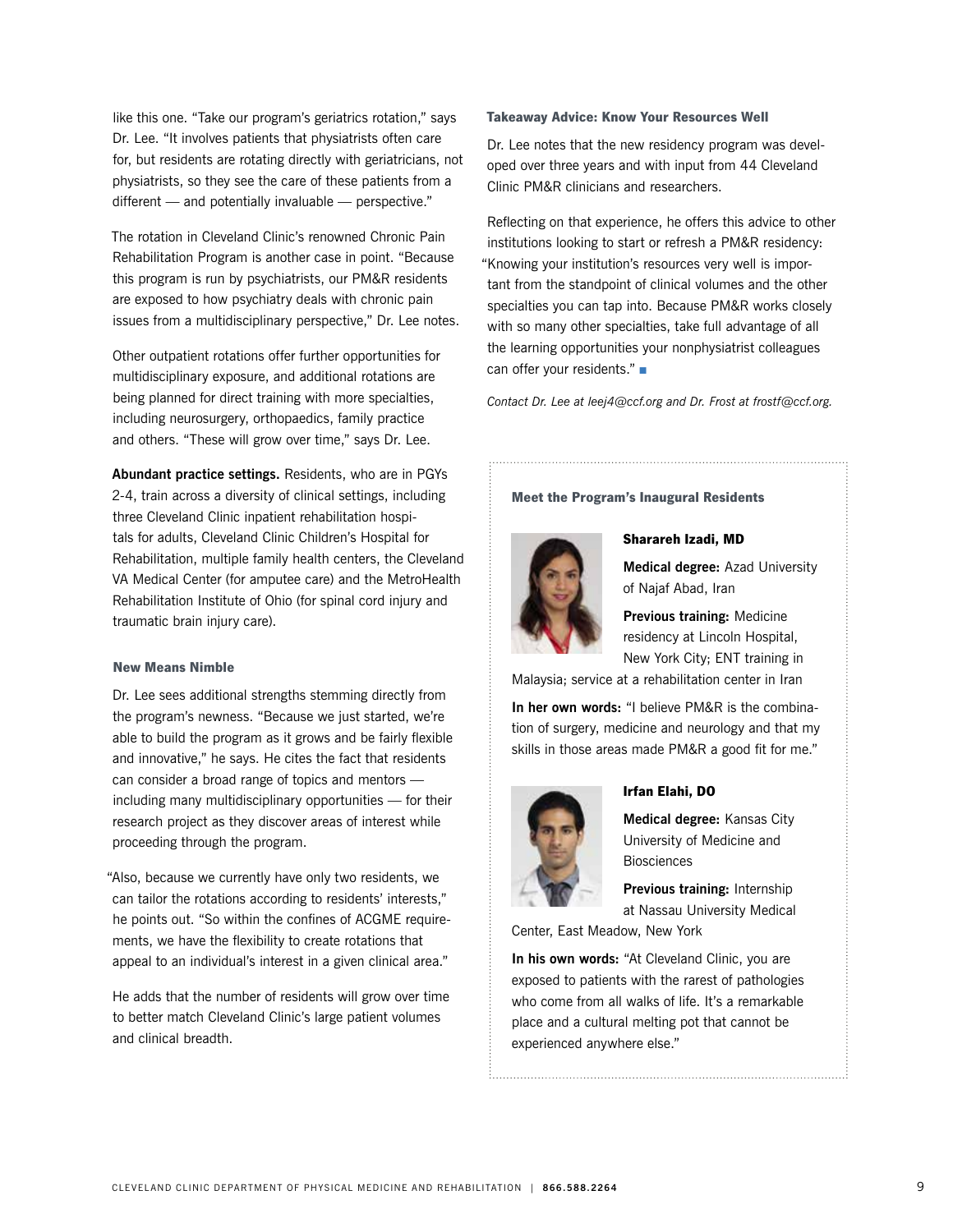like this one. "Take our program's geriatrics rotation," says Dr. Lee. "It involves patients that physiatrists often care for, but residents are rotating directly with geriatricians, not physiatrists, so they see the care of these patients from a different — and potentially invaluable — perspective."

The rotation in Cleveland Clinic's renowned Chronic Pain Rehabilitation Program is another case in point. "Because this program is run by psychiatrists, our PM&R residents are exposed to how psychiatry deals with chronic pain issues from a multidisciplinary perspective," Dr. Lee notes.

Other outpatient rotations offer further opportunities for multidisciplinary exposure, and additional rotations are being planned for direct training with more specialties, including neurosurgery, orthopaedics, family practice and others. "These will grow over time," says Dr. Lee.

**Abundant practice settings.** Residents, who are in PGYs 2-4, train across a diversity of clinical settings, including three Cleveland Clinic inpatient rehabilitation hospitals for adults, Cleveland Clinic Children's Hospital for Rehabilitation, multiple family health centers, the Cleveland VA Medical Center (for amputee care) and the MetroHealth Rehabilitation Institute of Ohio (for spinal cord injury and traumatic brain injury care).

#### New Means Nimble

Dr. Lee sees additional strengths stemming directly from the program's newness. "Because we just started, we're able to build the program as it grows and be fairly flexible and innovative," he says. He cites the fact that residents can consider a broad range of topics and mentors including many multidisciplinary opportunities — for their research project as they discover areas of interest while proceeding through the program.

"Also, because we currently have only two residents, we can tailor the rotations according to residents' interests," he points out. "So within the confines of ACGME requirements, we have the flexibility to create rotations that appeal to an individual's interest in a given clinical area."

He adds that the number of residents will grow over time to better match Cleveland Clinic's large patient volumes and clinical breadth.

#### Takeaway Advice: Know Your Resources Well

Dr. Lee notes that the new residency program was developed over three years and with input from 44 Cleveland Clinic PM&R clinicians and researchers.

Reflecting on that experience, he offers this advice to other institutions looking to start or refresh a PM&R residency: "Knowing your institution's resources very well is important from the standpoint of clinical volumes and the other specialties you can tap into. Because PM&R works closely with so many other specialties, take full advantage of all the learning opportunities your nonphysiatrist colleagues can offer your residents." $\blacksquare$ 

*Contact Dr. Lee at leej4@ccf.org and Dr. Frost at frostf@ccf.org.*

#### Meet the Program's Inaugural Residents



**Medical degree:** Azad University

Sharareh Izadi, MD

of Najaf Abad, Iran

**Previous training:** Medicine residency at Lincoln Hospital, New York City; ENT training in

Malaysia; service at a rehabilitation center in Iran

**In her own words:** "I believe PM&R is the combination of surgery, medicine and neurology and that my skills in those areas made PM&R a good fit for me."



#### Irfan Elahi, DO

**Medical degree:** Kansas City University of Medicine and **Biosciences** 

**Previous training:** Internship at Nassau University Medical

Center, East Meadow, New York

**In his own words:** "At Cleveland Clinic, you are exposed to patients with the rarest of pathologies who come from all walks of life. It's a remarkable place and a cultural melting pot that cannot be experienced anywhere else."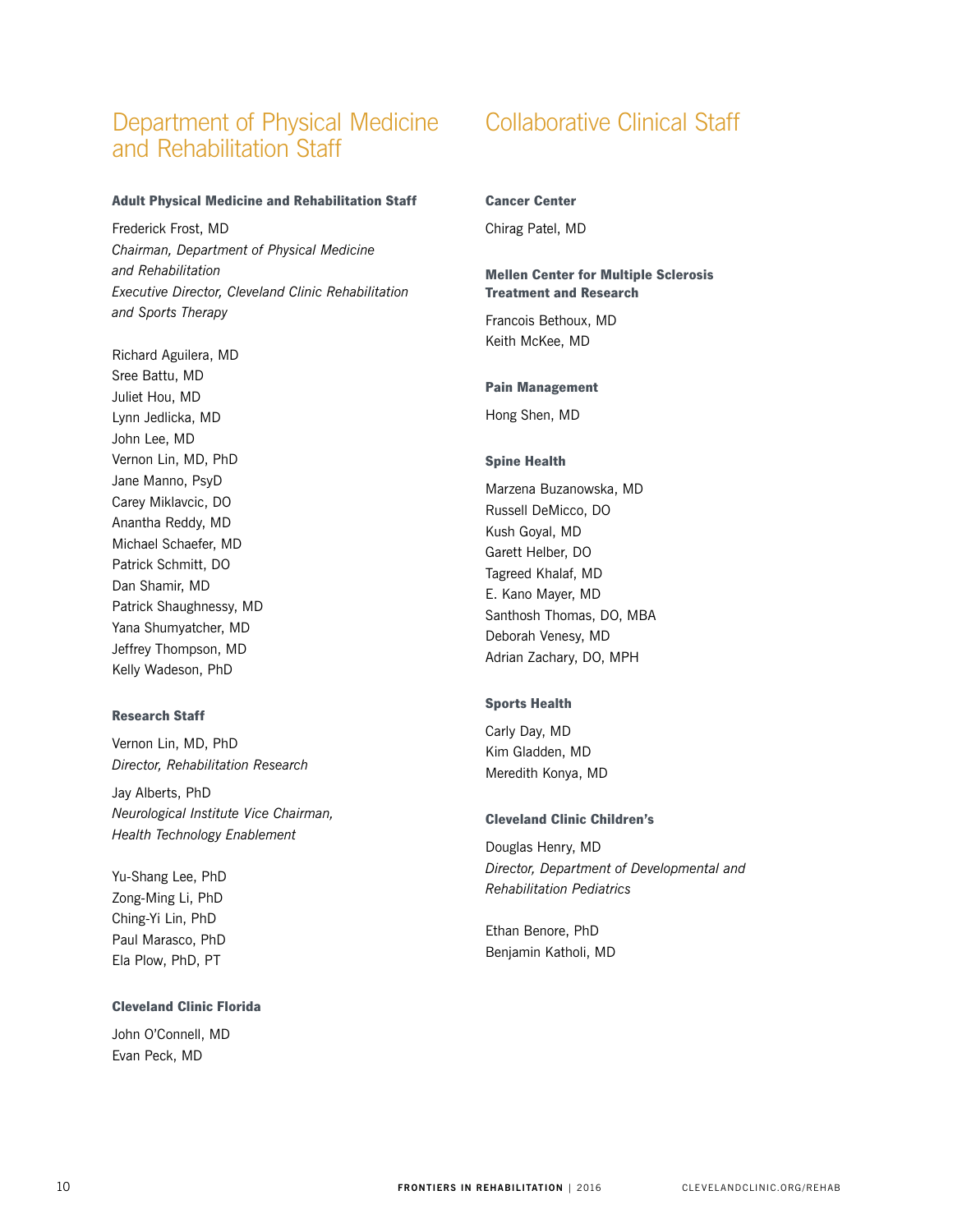## Department of Physical Medicine and Rehabilitation Staff

#### Adult Physical Medicine and Rehabilitation Staff

Frederick Frost, MD *Chairman, Department of Physical Medicine and Rehabilitation Executive Director, Cleveland Clinic Rehabilitation and Sports Therapy*

Richard Aguilera, MD Sree Battu, MD Juliet Hou, MD Lynn Jedlicka, MD John Lee, MD Vernon Lin, MD, PhD Jane Manno, PsyD Carey Miklavcic, DO Anantha Reddy, MD Michael Schaefer, MD Patrick Schmitt, DO Dan Shamir, MD Patrick Shaughnessy, MD Yana Shumyatcher, MD Jeffrey Thompson, MD Kelly Wadeson, PhD

#### Research Staff

Vernon Lin, MD, PhD *Director, Rehabilitation Research*

Jay Alberts, PhD *Neurological Institute Vice Chairman, Health Technology Enablement*

Yu-Shang Lee, PhD Zong-Ming Li, PhD Ching-Yi Lin, PhD Paul Marasco, PhD Ela Plow, PhD, PT

#### Cleveland Clinic Florida

John O'Connell, MD Evan Peck, MD

# Collaborative Clinical Staff

#### Cancer Center

Chirag Patel, MD

#### Mellen Center for Multiple Sclerosis Treatment and Research

Francois Bethoux, MD Keith McKee, MD

#### Pain Management

Hong Shen, MD

#### Spine Health

Marzena Buzanowska, MD Russell DeMicco, DO Kush Goyal, MD Garett Helber, DO Tagreed Khalaf, MD E. Kano Mayer, MD Santhosh Thomas, DO, MBA Deborah Venesy, MD Adrian Zachary, DO, MPH

#### Sports Health

Carly Day, MD Kim Gladden, MD Meredith Konya, MD

#### Cleveland Clinic Children's

Douglas Henry, MD *Director, Department of Developmental and Rehabilitation Pediatrics*

Ethan Benore, PhD Benjamin Katholi, MD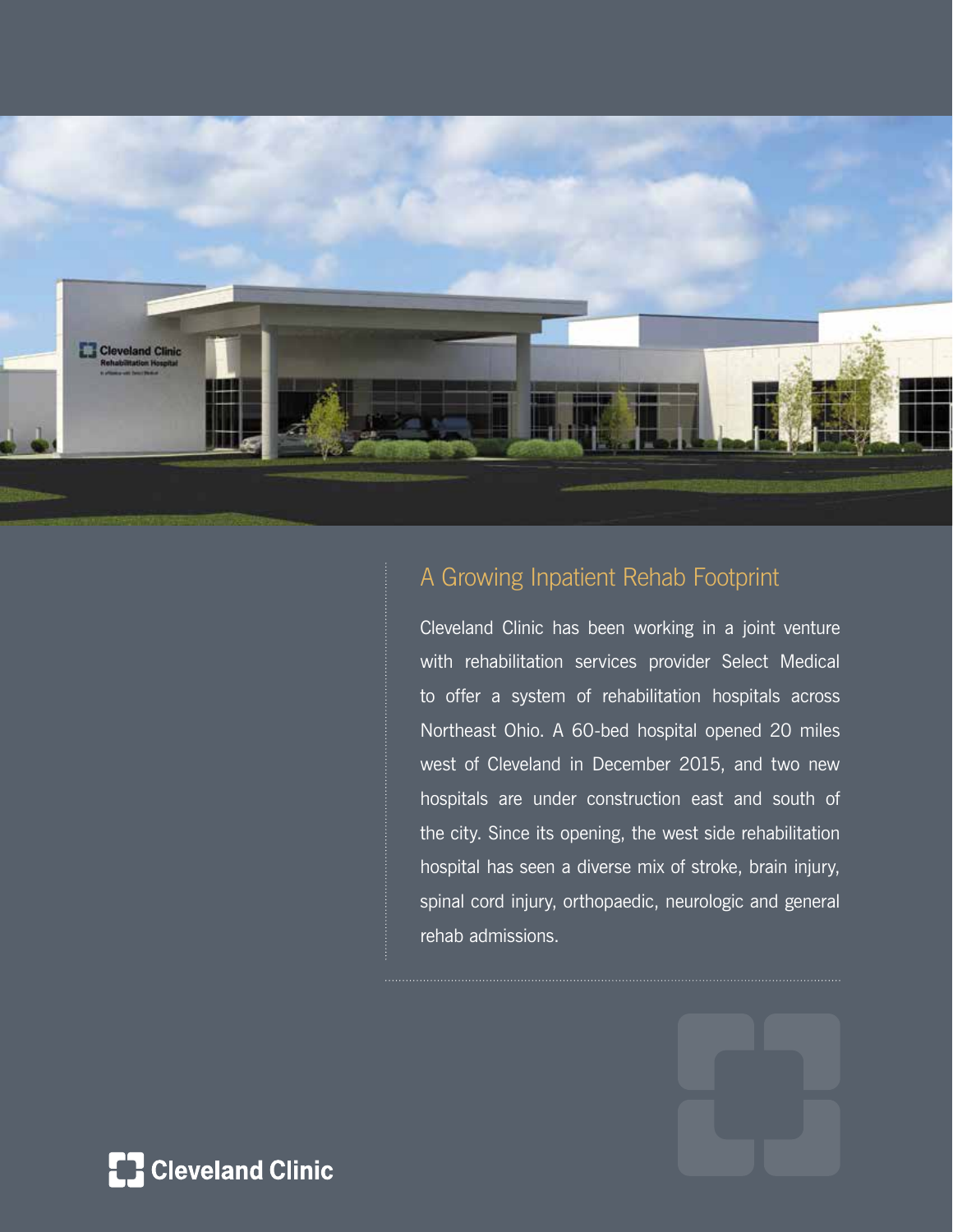

# A Growing Inpatient Rehab Footprint

Cleveland Clinic has been working in a joint venture with rehabilitation services provider Select Medical to offer a system of rehabilitation hospitals across Northeast Ohio. A 60-bed hospital opened 20 miles west of Cleveland in December 2015, and two new hospitals are under construction east and south of the city. Since its opening, the west side rehabilitation hospital has seen a diverse mix of stroke, brain injury, spinal cord injury, orthopaedic, neurologic and general rehab admissions.